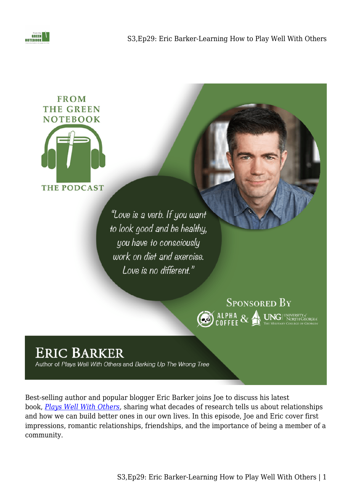



"Love is a verb. If you want to look good and be healthy, you have to consciously work on diet and exercise. Love is no different."



## **ERIC BARKER**

Author of Plays Well With Others and Barking Up The Wrong Tree

Best-selling author and popular blogger Eric Barker joins Joe to discuss his latest book, *[Plays Well With Others](https://amzn.to/3O3xABZ),* sharing what decades of research tells us about relationships and how we can build better ones in our own lives. In this episode, Joe and Eric cover first impressions, romantic relationships, friendships, and the importance of being a member of a community.